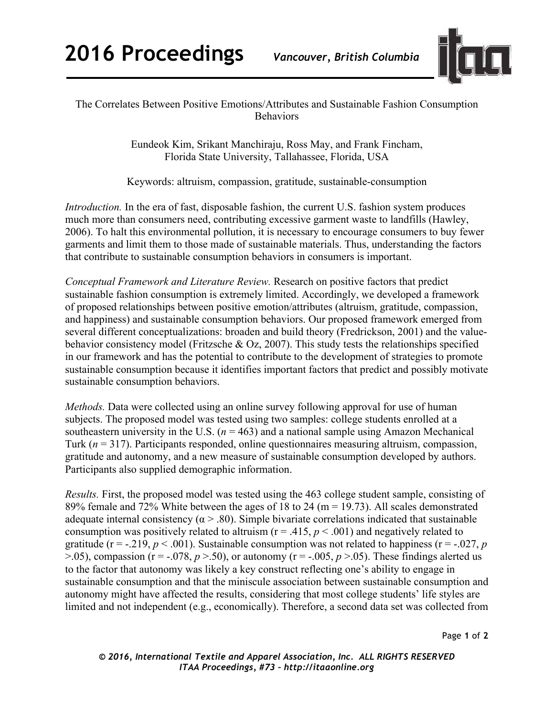

## The Correlates Between Positive Emotions/Attributes and Sustainable Fashion Consumption **Behaviors**

Eundeok Kim, Srikant Manchiraju, Ross May, and Frank Fincham, Florida State University, Tallahassee, Florida, USA

Keywords: altruism, compassion, gratitude, sustainable-consumption

*Introduction*. In the era of fast, disposable fashion, the current U.S. fashion system produces much more than consumers need, contributing excessive garment waste to landfills (Hawley, 2006). To halt this environmental pollution, it is necessary to encourage consumers to buy fewer garments and limit them to those made of sustainable materials. Thus, understanding the factors that contribute to sustainable consumption behaviors in consumers is important.

*Conceptual Framework and Literature Review.* Research on positive factors that predict sustainable fashion consumption is extremely limited. Accordingly, we developed a framework of proposed relationships between positive emotion/attributes (altruism, gratitude, compassion, and happiness) and sustainable consumption behaviors. Our proposed framework emerged from several different conceptualizations: broaden and build theory (Fredrickson, 2001) and the valuebehavior consistency model (Fritzsche & Oz, 2007). This study tests the relationships specified in our framework and has the potential to contribute to the development of strategies to promote sustainable consumption because it identifies important factors that predict and possibly motivate sustainable consumption behaviors.

*Methods.* Data were collected using an online survey following approval for use of human subjects. The proposed model was tested using two samples: college students enrolled at a southeastern university in the U.S.  $(n = 463)$  and a national sample using Amazon Mechanical Turk (*n* = 317). Participants responded, online questionnaires measuring altruism, compassion, gratitude and autonomy, and a new measure of sustainable consumption developed by authors. Participants also supplied demographic information.

*Results.* First, the proposed model was tested using the 463 college student sample, consisting of 89% female and 72% White between the ages of 18 to 24 (m = 19.73). All scales demonstrated adequate internal consistency ( $\alpha$  > .80). Simple bivariate correlations indicated that sustainable consumption was positively related to altruism ( $r = .415$ ,  $p < .001$ ) and negatively related to gratitude ( $r = -0.219$ ,  $p < 0.001$ ). Sustainable consumption was not related to happiness ( $r = -0.027$ , *p*  $>$ .05), compassion (r = -.078,  $p >$ .50), or autonomy (r = -.005,  $p >$ .05). These findings alerted us to the factor that autonomy was likely a key construct reflecting one's ability to engage in sustainable consumption and that the miniscule association between sustainable consumption and autonomy might have affected the results, considering that most college students' life styles are limited and not independent (e.g., economically). Therefore, a second data set was collected from

Page **1** of **2**